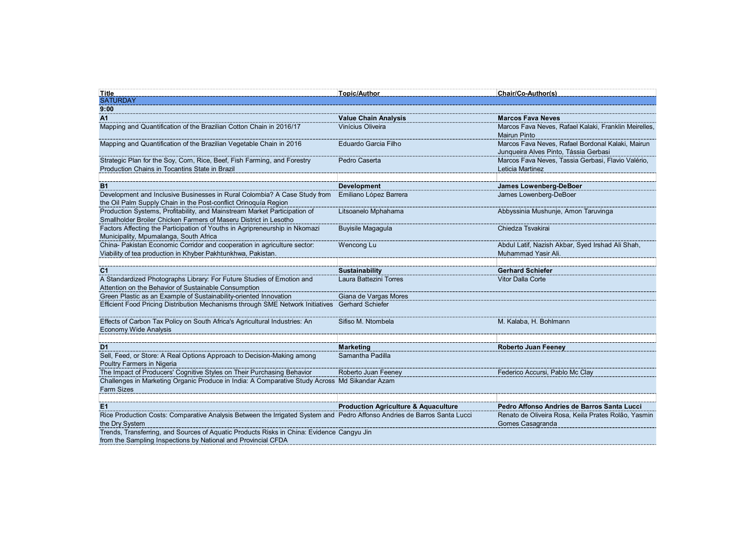| <u>Title</u>                                                                                                                                                                              | <u>Topic/Author</u>                                                                                                                                                                                                                                                                      | <b>Chair/Co-Author(s)</b>                                                                                              |
|-------------------------------------------------------------------------------------------------------------------------------------------------------------------------------------------|------------------------------------------------------------------------------------------------------------------------------------------------------------------------------------------------------------------------------------------------------------------------------------------|------------------------------------------------------------------------------------------------------------------------|
| <b>SATURDAY</b><br>9:00                                                                                                                                                                   |                                                                                                                                                                                                                                                                                          |                                                                                                                        |
| A1                                                                                                                                                                                        | <b>Value Chain Analysis</b>                                                                                                                                                                                                                                                              | <b>Marcos Fava Neves</b>                                                                                               |
| Mapping and Quantification of the Brazilian Cotton Chain in 2016/17                                                                                                                       | Vinícius Oliveira                                                                                                                                                                                                                                                                        | Marcos Fava Neves, Rafael Kalaki, Franklin Meirelles,<br><b>Mairun Pinto</b>                                           |
| Mapping and Quantification of the Brazilian Vegetable Chain in 2016                                                                                                                       | Eduardo Garcia Filho                                                                                                                                                                                                                                                                     | Marcos Fava Neves, Rafael Bordonal Kalaki, Mairun<br>Junqueira Alves Pinto, Tássia Gerbasi                             |
| Strategic Plan for the Soy, Corn, Rice, Beef, Fish Farming, and Forestry                                                                                                                  | Pedro Caserta                                                                                                                                                                                                                                                                            | Marcos Fava Neves, Tassia Gerbasi, Flavio Valério,                                                                     |
| Production Chains in Tocantins State in Brazil                                                                                                                                            |                                                                                                                                                                                                                                                                                          | Leticia Martinez                                                                                                       |
| <b>B1</b>                                                                                                                                                                                 | <b>Development</b>                                                                                                                                                                                                                                                                       | James Lowenberg-DeBoer                                                                                                 |
| Development and Inclusive Businesses in Rural Colombia? A Case Study from Emiliano López Barrera<br>the Oil Palm Supply Chain in the Post-conflict Orinoquía Region                       |                                                                                                                                                                                                                                                                                          | James Lowenberg-DeBoer                                                                                                 |
| Production Systems, Profitability, and Mainstream Market Participation of<br>Smallholder Broiler Chicken Farmers of Maseru District in Lesotho                                            | Litsoanelo Mphahama                                                                                                                                                                                                                                                                      | Abbyssinia Mushunje, Amon Taruvinga                                                                                    |
| Factors Affecting the Participation of Youths in Agripreneurship in Nkomazi<br>Municipality, Mpumalanga, South Africa                                                                     | <b>Buyisile Magagula</b>                                                                                                                                                                                                                                                                 | Chiedza Tsvakirai                                                                                                      |
| China- Pakistan Economic Corridor and cooperation in agriculture sector:<br>Viability of tea production in Khyber Pakhtunkhwa, Pakistan.                                                  | Wencong Lu                                                                                                                                                                                                                                                                               | Abdul Latif, Nazish Akbar, Syed Irshad Ali Shah,<br>Muhammad Yasir Ali.                                                |
|                                                                                                                                                                                           |                                                                                                                                                                                                                                                                                          |                                                                                                                        |
| C <sub>1</sub>                                                                                                                                                                            | <b>Sustainability</b>                                                                                                                                                                                                                                                                    | <b>Gerhard Schiefer</b>                                                                                                |
| A Standardized Photographs Library: For Future Studies of Emotion and<br>Attention on the Behavior of Sustainable Consumption                                                             | Laura Battezini Torres                                                                                                                                                                                                                                                                   | Vitor Dalla Corte                                                                                                      |
| Green Plastic as an Example of Sustainability-oriented Innovation<br>Efficient Food Pricing Distribution Mechanisms through SME Network Initiatives Gerhard Schiefer                      | -----------------------------<br>Giana de Vargas Mores                                                                                                                                                                                                                                   |                                                                                                                        |
| Economy Wide Analysis                                                                                                                                                                     | Sifiso M. Ntombela                                                                                                                                                                                                                                                                       | M. Kalaba, H. Bohlmann                                                                                                 |
| D <sub>1</sub>                                                                                                                                                                            |                                                                                                                                                                                                                                                                                          | Roberto Juan Feeney                                                                                                    |
| Sell, Feed, or Store: A Real Options Approach to Decision-Making among<br>Poultry Farmers in Nigeria                                                                                      | Samantha Padilla                                                                                                                                                                                                                                                                         |                                                                                                                        |
|                                                                                                                                                                                           |                                                                                                                                                                                                                                                                                          | Federico Accursi, Pablo Mc Clay                                                                                        |
| "Challenges in Marketing Organic Produce in India: A Comparative Study Across Md Sikandar Azam<br>Farm Sizes                                                                              |                                                                                                                                                                                                                                                                                          |                                                                                                                        |
|                                                                                                                                                                                           |                                                                                                                                                                                                                                                                                          |                                                                                                                        |
| E <sub>1</sub>                                                                                                                                                                            | <b>Production Agriculture &amp; Aquaculture</b><br><u>FILENCIAL PRODUCTION CONDITIONS CONDITIONS CONDITIONS CONDITIONS CONDITIONS CONDITIONS CONDITIONS CONDITIONS C</u><br>Rice Production Costs: Comparative Analysis Between the Irrigated System and Pedro Affonso Andries de Barros | Pedro Affonso Andries de Barros Santa Lucci<br>Renato de Oliveira Rosa, Keila Prates Rolão, Yasmin<br>Gomes Casagranda |
| the Dry System<br>Trends, Transferring, and Sources of Aquatic Products Risks in China: Evidence Cangyu Jin<br>from the Somnling Increasing to the Multiple of China: Evidence Cangyu Jin |                                                                                                                                                                                                                                                                                          |                                                                                                                        |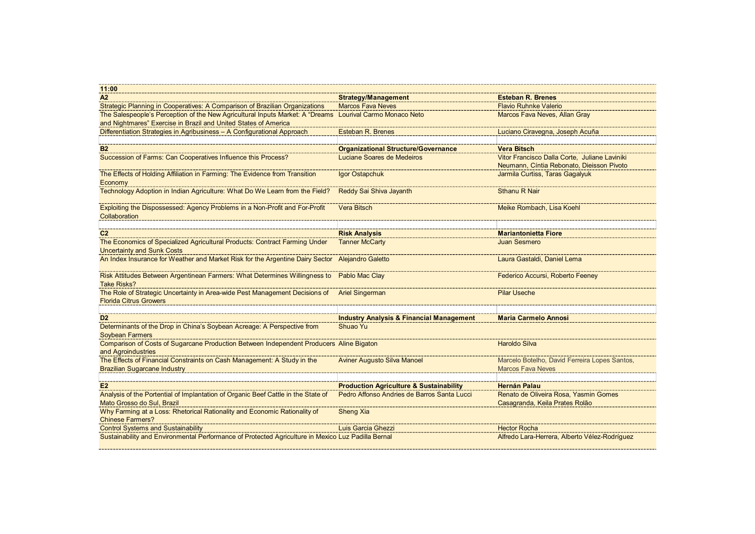| 11:00                                                                                                                                                                                                                      |                                                                 |                                                                                            |
|----------------------------------------------------------------------------------------------------------------------------------------------------------------------------------------------------------------------------|-----------------------------------------------------------------|--------------------------------------------------------------------------------------------|
| $\overline{A2}$                                                                                                                                                                                                            | <b>Strategy/Management</b>                                      | <b>Esteban R. Brenes</b>                                                                   |
| Strategic Planning in Cooperatives: A Comparison of Brazilian Organizations                                                                                                                                                | <b>Marcos Fava Neves</b>                                        | <b>Flavio Ruhnke Valerio</b>                                                               |
| The Salespeople's Perception of the New Agricultural Inputs Market: A "Dreams Lourival Carmo Monaco Neto<br>and Nightmares" Exercise in Brazil and United States of America                                                |                                                                 | Marcos Fava Neves, Allan Gray                                                              |
| Differentiation Strategies in Agribusiness – A Configurational Approach                                                                                                                                                    | Esteban R. Brenes                                               | Luciano Ciravegna, Joseph Acuña                                                            |
| <b>B2</b>                                                                                                                                                                                                                  | <b>Organizational Structure/Governance</b>                      | <b>Vera Bitsch</b>                                                                         |
| Succession of Farms: Can Cooperatives Influence this Process'                                                                                                                                                              | Luciane Soares de Medeiros                                      | Vitor Francisco Dalla Corte, Juliane Laviniki<br>Neumann, Cíntia Rebonato, Dieisson Pivoto |
| The Effects of Holding Affiliation in Farming: The Evidence from Transition<br>Economy                                                                                                                                     | Igor Ostapchuk                                                  | Jarmila Curtiss, Taras Gagalyuk                                                            |
| Technology Adoption in Indian Agriculture: What Do We Learn from the Field?                                                                                                                                                | Reddy Sai Shiva Jayanth                                         | <b>Sthanu R Nair</b>                                                                       |
| Exploiting the Dispossessed: Agency Problems in a Non-Profit and For-Profi<br>Collaboration                                                                                                                                | Vera Bitsch                                                     | Meike Rombach, Lisa Koeh                                                                   |
| C <sub>2</sub>                                                                                                                                                                                                             | <b>Risk Analysis</b>                                            | <b>Mariantonietta Fiore</b>                                                                |
| The Economics of Specialized Agricultural Products: Contract Farming Under<br><b>Uncertainty and Sunk Costs</b>                                                                                                            | <b>Tanner McCarty</b>                                           | <b>Juan Sesmero</b>                                                                        |
| An Index Insurance for Weather and Market Risk for the Argentine Dairy Sector Alejandro Galetto                                                                                                                            |                                                                 | Laura Gastaldi, Daniel Lema                                                                |
| <b>Take Risks?</b>                                                                                                                                                                                                         |                                                                 | Federico Accursi, Roberto Feeney                                                           |
| The Role of Strategic Uncertainty in Area-wide Pest Management Decisions of Tariel Singerman The Role of Strategic Uncertainty in Area-wide Pest Management Decisions of Tariel Singerman<br><b>Florida Citrus Growers</b> |                                                                 | <b>Pilar Useche</b>                                                                        |
|                                                                                                                                                                                                                            |                                                                 |                                                                                            |
| D <sub>2</sub><br>Determinants of the Drop in China's Soybean Acreage: A Perspective from                                                                                                                                  | <b>Industry Analysis &amp; Financial Management</b><br>Shuao Yu | <b>Maria Carmelo Annosi</b>                                                                |
| <b>Soybean Farmers</b><br>Comparison of Costs of Sugarcane Production Between Independent Producers Aline Bigaton                                                                                                          |                                                                 | <b>Haroldo Silva</b>                                                                       |
| and Agroindustries<br>The Effects of Financial Constraints on Cash Management: A Study in the                                                                                                                              | <b>Aviner Augusto Silva Manoel</b>                              | Marcelo Botelho, David Ferreira Lopes Santos,                                              |
| <b>Brazilian Sugarcane Industry</b>                                                                                                                                                                                        |                                                                 | <b>Marcos Fava Neves</b>                                                                   |
| E2                                                                                                                                                                                                                         | <b>Production Agriculture &amp; Sustainability</b>              | <b>Hernán Palau</b>                                                                        |
| Analysis of the Portential of Implantation of Organic Beef Cattle in the State of<br>Mato Grosso do Sul, Brazil                                                                                                            | Pedro Affonso Andries de Barros Santa Lucci                     | Renato de Oliveira Rosa, Yasmin Gomes<br>Casagranda, Keila Prates Rolão                    |
| Why Farming at a Loss: Rhetorical Rationality and Economic Rationality of<br><b>Chinese Farmers?</b>                                                                                                                       | <b>Sheng Xia</b>                                                |                                                                                            |
| <b>Control Systems and Sustainability</b>                                                                                                                                                                                  | Luis Garcia Ghezzi                                              | <b>Hector Rocha</b>                                                                        |
| Sustainability and Environmental Performance of Protected Agriculture in Mexico Luz Padilla Bernal                                                                                                                         |                                                                 | Alfredo Lara-Herrera, Alberto Vélez-Rodríguez                                              |
|                                                                                                                                                                                                                            |                                                                 |                                                                                            |
|                                                                                                                                                                                                                            |                                                                 |                                                                                            |
|                                                                                                                                                                                                                            |                                                                 |                                                                                            |
|                                                                                                                                                                                                                            |                                                                 |                                                                                            |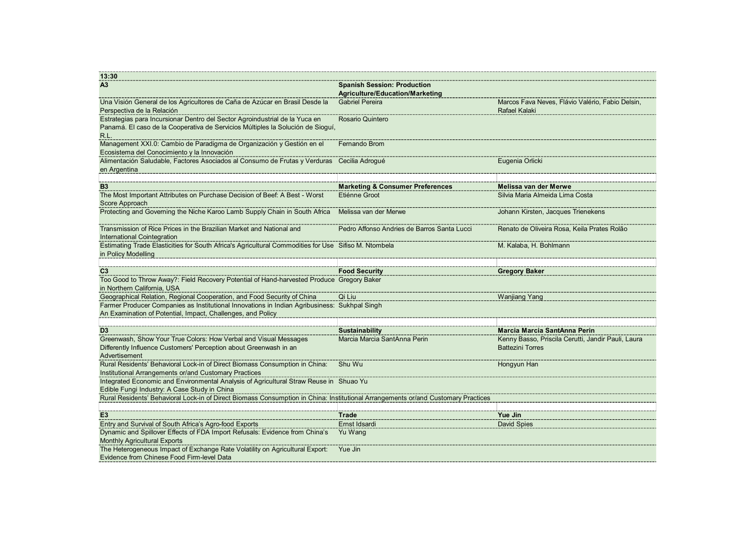| 13:30                                                                                                                                                                             |                                                           |                                                                                                               |
|-----------------------------------------------------------------------------------------------------------------------------------------------------------------------------------|-----------------------------------------------------------|---------------------------------------------------------------------------------------------------------------|
| A <sub>3</sub>                                                                                                                                                                    | <b>Spanish Session: Production</b>                        |                                                                                                               |
| Una Visión General de los Agricultores de Caña de Azúcar en Brasil Desde la<br>Perspectiva de la Relación                                                                         | Agriculture/Education/Marketing<br><b>Gabriel Pereira</b> | Marcos Fava Neves, Flávio Valério, Fabio Delsin,<br>Rafael Kalaki                                             |
| Estrategias para Incursionar Dentro del Sector Agroindustrial de la Yuca en<br>Panamá. El caso de la Cooperativa de Servicios Múltiples la Solución de Sioguí,<br>R.L.            | Rosario Quintero                                          |                                                                                                               |
| Management XXI.0: Cambio de Paradigma de Organización y Gestión en el<br>Ecosistema del Conocimiento y la Innovación                                                              | <b>Fernando Brom</b>                                      |                                                                                                               |
| Alimentación Saludable, Factores Asociados al Consumo de Frutas y Verduras Cecilia Adrogué<br>en Argentina                                                                        |                                                           | Eugenia Orlicki                                                                                               |
| <b>B</b> <sub>3</sub>                                                                                                                                                             | <b>Marketing &amp; Consumer Preferences</b>               | Melissa van der Merwe                                                                                         |
| The Most Important Attributes on Purchase Decision of Beef: A Best - Worst<br>Score Approach                                                                                      | Etiénne Groot                                             | Silvia Maria Almeida Lima Costa                                                                               |
| Protecting and Governing the Niche Karoo Lamb Supply Chain in South Africa Melissa van der Merwe                                                                                  |                                                           | Johann Kirsten, Jacques Trienekens                                                                            |
| Transmission of Rice Prices in the Brazilian Market and National and<br><b>International Cointegration</b>                                                                        | Pedro Affonso Andries de Barros Santa Lucci               | Renato de Oliveira Rosa, Keila Prates Rolão                                                                   |
| Estimating Trade Elasticities for South Africa's Agricultural Commodities for Use Sifiso M. Ntombela<br>in Policy Modelling                                                       |                                                           | M. Kalaba, H. Bohlmann                                                                                        |
| C <sub>3</sub>                                                                                                                                                                    | <b>Food Security</b>                                      | <b>Gregory Baker</b>                                                                                          |
| Too Good to Throw Away?: Field Recovery Potential of Hand-harvested Produce Gregory Baker<br>in Northern California, USA                                                          |                                                           |                                                                                                               |
| Geographical Relation, Regional Cooperation, and Food Security of China                                                                                                           | Qi Liu                                                    | Wanjiang Yang                                                                                                 |
|                                                                                                                                                                                   |                                                           |                                                                                                               |
| Farmer Producer Companies as Institutional Innovations in Indian Agribusiness: Sukhpal Singh<br>An Examination of Potential, Impact, Challenges, and Policy                       |                                                           |                                                                                                               |
|                                                                                                                                                                                   |                                                           |                                                                                                               |
| D <sub>3</sub><br>Greenwash, Show Your True Colors: How Verbal and Visual Messages<br>Differently Influence Customers' Perception about Greenwash in an                           | Sustainability<br>Marcia Marcia SantAnna Perin            | Marcia Marcia SantAnna Perin<br>Kenny Basso, Priscila Cerutti, Jandir Pauli, Laura<br><b>Battezini Torres</b> |
| Advertisement                                                                                                                                                                     |                                                           | Hongyun Han                                                                                                   |
| Institutional Arrangements or/and Customary Practices<br>Integrated Economic and Environmental Analysis of Agricultural Straw Reuse in Shuao Yu                                   |                                                           |                                                                                                               |
| Edible Fungi Industry: A Case Study in China<br>Rural Residents' Behavioral Lock-in of Direct Biomass Consumption in China: Institutional Arrangements or/and Customary Practices |                                                           |                                                                                                               |
| $E_3$                                                                                                                                                                             | Trade                                                     | Yue Jin                                                                                                       |
| Entry and Survival of South Africa's Agro-food Exports                                                                                                                            | Ernst Idsardi                                             | David Spies                                                                                                   |
| Dynamic and Spillover Effects of FDA Import Refusals: Evidence from China's Yu Wang<br><b>Monthly Agricultural Exports</b>                                                        |                                                           |                                                                                                               |
| The Heterogeneous Impact of Exchange Rate Volatility on Agricultural Export: Yue Jin<br>Evidence from Chinese Food Firm-level Data                                                |                                                           |                                                                                                               |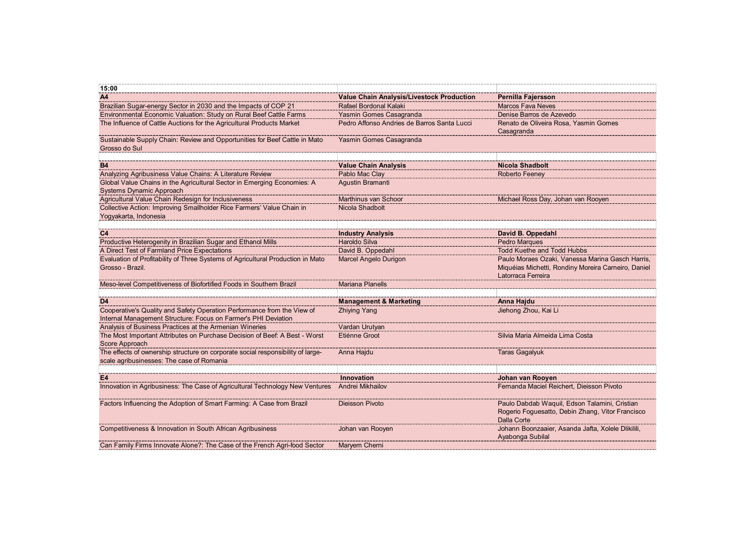| 15:00                                                                                                                                 |                                                   |                                                                           |
|---------------------------------------------------------------------------------------------------------------------------------------|---------------------------------------------------|---------------------------------------------------------------------------|
| A4                                                                                                                                    | Value Chain Analysis/Livestock Production         | Pernilla Fajersson                                                        |
| Brazilian Sugar-energy Sector in 2030 and the Impacts of COP 21<br>Environmental Economic Valuation: Study on Rural Beef Cattle Farms | Rafael Bordonal Kalaki<br>Yasmin Gomes Casagranda | <b>Marcos Fava Neves</b><br>Denise Barros de Azevedo                      |
| The Influence of Cattle Auctions for the Agricultural Products Market                                                                 | Pedro Affonso Andries de Barros Santa Lucci       | Renato de Oliveira Rosa, Yasmin Gomes                                     |
|                                                                                                                                       |                                                   | Casagranda                                                                |
| Sustainable Supply Chain: Review and Opportunities for Beef Cattle in Mato                                                            | Yasmin Gomes Casagranda                           |                                                                           |
| Grosso do Sul                                                                                                                         |                                                   |                                                                           |
| <b>B4</b>                                                                                                                             |                                                   |                                                                           |
| Analyzing Agribusiness Value Chains: A Literature Review                                                                              | <b>Value Chain Analysis</b><br>Pablo Mac Clay     | <b>Nicola Shadbolt</b><br><b>Roberto Feeney</b>                           |
| Global Value Chains in the Agricultural Sector in Emerging Economies: A                                                               | Agustin Bramanti                                  |                                                                           |
| Systems Dynamic Approach                                                                                                              |                                                   |                                                                           |
| Agricultural Value Chain Redesign for Inclusiveness                                                                                   | Marthinus van Schoor                              | Michael Ross Day, Johan van Rooyen                                        |
| Collective Action: Improving Smallholder Rice Farmers' Value Chain in                                                                 | Nicola Shadbolt                                   |                                                                           |
| Yogyakarta, Indonesia                                                                                                                 |                                                   |                                                                           |
| C <sub>4</sub>                                                                                                                        | <b>Industry Analysis</b>                          | David B. Oppedahl                                                         |
| Productive Heterogenity in Brazilian Sugar and Ethanol Mills                                                                          | Haroldo Silva                                     | Pedro Marques                                                             |
| A Direct Test of Farmland Price Expectations                                                                                          | David B. Oppedahl                                 | <b>Todd Kuethe and Todd Hubbs</b>                                         |
| Evaluation of Profitability of Three Systems of Agricultural Production in Mato                                                       | Marcel Angelo Durigon                             | Paulo Moraes Ozaki, Vanessa Marina Gasch Harris,                          |
| Grosso - Brazil.                                                                                                                      |                                                   | Miquéias Michetti, Rondiny Moreira Carneiro, Daniel<br>Latorraca Ferreira |
| Meso-level Competitiveness of Biofortified Foods in Southern Brazil                                                                   | <b>Mariana Planells</b>                           |                                                                           |
|                                                                                                                                       |                                                   |                                                                           |
| D <sub>4</sub>                                                                                                                        | <b>Management &amp; Marketing</b>                 | Anna Hajdu                                                                |
| Cooperative's Quality and Safety Operation Performance from the View of                                                               | <b>Zhiying Yang</b>                               | Jiehong Zhou, Kai Li                                                      |
| Internal Management Structure: Focus on Farmer's PHI Deviation<br>Analysis of Business Practices at the Armenian Wineries             | Vardan Urutyan                                    |                                                                           |
| The Most Important Attributes on Purchase Decision of Beef: A Best - Worst                                                            | Etiénne Groot                                     | Silvia Maria Almeida Lima Costa                                           |
| Score Approach                                                                                                                        |                                                   |                                                                           |
| The effects of ownership structure on corporate social responsibility of large-                                                       | ---------------<br>Anna Hajdu                     | <b>Taras Gagalyuk</b>                                                     |
|                                                                                                                                       |                                                   |                                                                           |
| scale agribusinesses: The case of Romania                                                                                             |                                                   | Johan van Rooyen                                                          |
|                                                                                                                                       |                                                   |                                                                           |
| E <sub>4</sub><br>Innovation in Agribusiness: The Case of Agricultural Technology New Ventures Andrei Mikhailov                       | Innovation                                        | Fernanda Maciel Reichert, Dieisson Pivoto                                 |
|                                                                                                                                       |                                                   |                                                                           |
| Factors Influencing the Adoption of Smart Farming: A Case from Brazil                                                                 | <b>Dieisson Pivoto</b>                            | Paulo Dabdab Waquil, Edson Talamini, Cristian                             |
|                                                                                                                                       |                                                   | Rogerio Foguesatto, Debin Zhang, Vitor Francisco                          |
|                                                                                                                                       |                                                   | Dalla Corte                                                               |
| Competitiveness & Innovation in South African Agribusiness                                                                            | Johan van Rooyen                                  | Johann Boonzaaier, Asanda Jafta, Xolele Dlikilili,<br>Ayabonga Subilal    |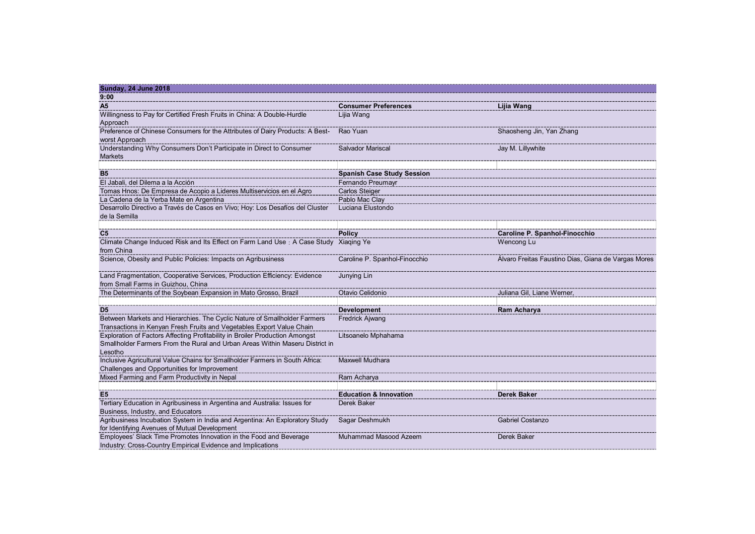| <b>Sunday, 24 June 2018</b><br>9:00                                                                                                                               |                                     |                                                       |
|-------------------------------------------------------------------------------------------------------------------------------------------------------------------|-------------------------------------|-------------------------------------------------------|
| A <sub>5</sub>                                                                                                                                                    | <b>Consumer Preferences</b>         | Lijia Wang                                            |
| Willingness to Pay for Certified Fresh Fruits in China: A Double-Hurdle<br>Approach                                                                               | Lijia Wang                          |                                                       |
| Preference of Chinese Consumers for the Attributes of Dairy Products: A Best-<br>worst Approach                                                                   | Rao Yuan                            | Shaosheng Jin, Yan Zhang                              |
| Understanding Why Consumers Don't Participate in Direct to Consumer                                                                                               | Salvador Mariscal                   | Jay M. Lillywhite                                     |
| <b>Markets</b>                                                                                                                                                    |                                     |                                                       |
| <b>B5</b>                                                                                                                                                         | <b>Spanish Case Study Session</b>   |                                                       |
| El Jabali, del Dilema a la Acción                                                                                                                                 | Fernando Preumayr                   |                                                       |
| Tomas Hnos: De Empresa de Acopio a Lideres Multiservicios en el Agro                                                                                              | Carlos Steiger                      |                                                       |
| La Cadena de la Yerba Mate en Argentina<br>Desarrollo Directivo a Través de Casos en Vivo; Hoy: Los Desafíos del Cluster                                          | Pablo Mac Clay<br>Luciana Elustondo |                                                       |
| de la Semilla                                                                                                                                                     |                                     |                                                       |
| C <sub>5</sub>                                                                                                                                                    | <b>Policy</b>                       | Caroline P. Spanhol-Finocchio                         |
| Climate Change Induced Risk and Its Effect on Farm Land Use: A Case Study Xiaqing Ye                                                                              |                                     | Wencong Lu                                            |
| from China                                                                                                                                                        |                                     |                                                       |
| Science, Obesity and Public Policies: Impacts on Agribusiness                                                                                                     | Caroline P. Spanhol-Finocchio       | Alvaro Freitas Faustino Dias, Giana de Vargas Mores   |
| Land Fragmentation, Cooperative Services, Production Efficiency: Evidence<br>from Small Farms in Guizhou, China                                                   | Junying Lin                         |                                                       |
| The Determinants of the Soybean Expansion in Mato Grosso, Brazil                                                                                                  | Otavio Celidonio                    | Juliana Gil, Liane Werner,                            |
| D <sub>5</sub>                                                                                                                                                    | Development                         | --------------------------------------<br>Ram Acharya |
| Between Markets and Hierarchies. The Cyclic Nature of Smallholder Farmers<br>Transactions in Kenyan Fresh Fruits and Vegetables Export Value Chain                | Fredrick Ajwang                     |                                                       |
| Exploration of Factors Affecting Profitability in Broiler Production Amongst                                                                                      | Litsoanelo Mphahama                 |                                                       |
| Smallholder Farmers From the Rural and Urban Areas Within Maseru District in<br>Lesotho                                                                           |                                     |                                                       |
| Inclusive Agricultural Value Chains for Smallholder Farmers in South Africa:<br>Challenges and Opportunities for Improvement                                      | Maxwell Mudhara                     |                                                       |
| Mixed Farming and Farm Productivity in Nepal                                                                                                                      | Ram Acharya                         |                                                       |
| E5 ------<br>Tertiary Education in Agribusiness in Argentina and Australia: Issues for                                                                            | <b>Education &amp; Innovation</b>   | Derek Baker                                           |
|                                                                                                                                                                   | Derek Baker                         |                                                       |
|                                                                                                                                                                   |                                     |                                                       |
| Business, Industry, and Educators<br>Agribusiness Incubation System in India and Argentina: An Exploratory Study<br>for Identifying Avenues of Mutual Development | Sagar Deshmukh                      | Gabriel Costanzo                                      |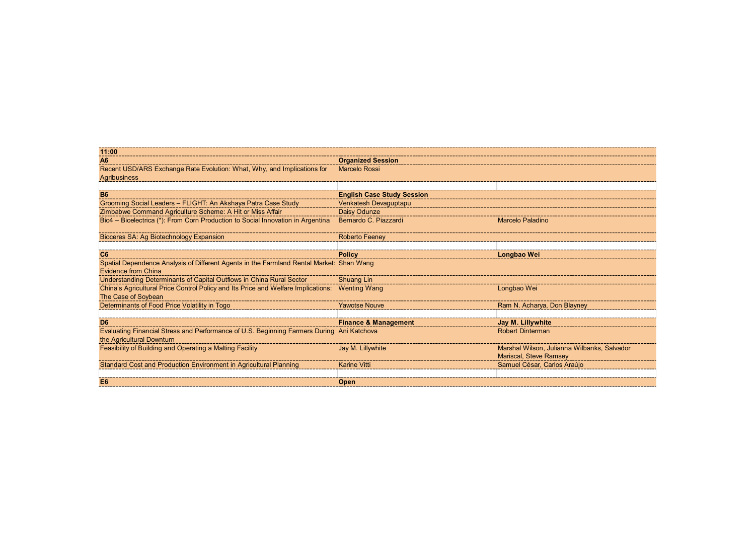| 11:00<br><b>Organized Session</b><br>A <sub>6</sub><br>Recent USD/ARS Exchange Rate Evolution: What, Why, and Implications for<br>Marcelo Rossi<br><b>Agribusiness</b><br><u>B6</u><br><b>English Case Study Session</b><br>Grooming Social Leaders - FLIGHT: An Akshaya Patra Case Study<br>Venkatesh Devaguptapu<br>Zimbabwe Command Agriculture Scheme: A Hit or Miss Affair<br>Daisy Odunze<br>Bio4 - Bioelectrica (*): From Corn Production to Social Innovation in Argentina<br>Bernardo C. Piazzardi<br><b>Marcelo Paladino</b><br>Roberto Feene<br>Bioceres SA: Ag Biotechnology Expansior<br><b>Policy</b><br>C6<br>Longbao Wei<br>Spatial Dependence Analysis of Different Agents in the Farmland Rental Market: Shan Wang<br>Evidence from China<br>Understanding Determinants of Capital Outflows in China Rural Sector<br>Shuang Lin<br>China's Agricultural Price Control Policy and Its Price and Welfare Implications: Wenting Wang<br>Longbao Wei<br>The Case of Soybean<br>Determinants of Food Price Volatility in Togo<br>Ram N. Acharya, Don Blayney<br><b>Yawotse Nouve</b><br><b>Finance &amp; Management</b><br>Jay M. Lillywhite<br>D <sub>6</sub><br><b>Robert Dinterman</b><br>the Agricultural Downturn<br>Jay M. Lillywhite<br>Feasibility of Building and Operating a Malting Facility<br>Marshal Wilson, Julianna Wilbanks, Salvador<br><b>Mariscal, Steve Ramsey</b><br>Samuel César, Carlos Araújo<br><b>Karine Vitti</b> |  |  |
|------------------------------------------------------------------------------------------------------------------------------------------------------------------------------------------------------------------------------------------------------------------------------------------------------------------------------------------------------------------------------------------------------------------------------------------------------------------------------------------------------------------------------------------------------------------------------------------------------------------------------------------------------------------------------------------------------------------------------------------------------------------------------------------------------------------------------------------------------------------------------------------------------------------------------------------------------------------------------------------------------------------------------------------------------------------------------------------------------------------------------------------------------------------------------------------------------------------------------------------------------------------------------------------------------------------------------------------------------------------------------------------------------------------------------------------------------------|--|--|
|                                                                                                                                                                                                                                                                                                                                                                                                                                                                                                                                                                                                                                                                                                                                                                                                                                                                                                                                                                                                                                                                                                                                                                                                                                                                                                                                                                                                                                                            |  |  |
|                                                                                                                                                                                                                                                                                                                                                                                                                                                                                                                                                                                                                                                                                                                                                                                                                                                                                                                                                                                                                                                                                                                                                                                                                                                                                                                                                                                                                                                            |  |  |
|                                                                                                                                                                                                                                                                                                                                                                                                                                                                                                                                                                                                                                                                                                                                                                                                                                                                                                                                                                                                                                                                                                                                                                                                                                                                                                                                                                                                                                                            |  |  |
|                                                                                                                                                                                                                                                                                                                                                                                                                                                                                                                                                                                                                                                                                                                                                                                                                                                                                                                                                                                                                                                                                                                                                                                                                                                                                                                                                                                                                                                            |  |  |
|                                                                                                                                                                                                                                                                                                                                                                                                                                                                                                                                                                                                                                                                                                                                                                                                                                                                                                                                                                                                                                                                                                                                                                                                                                                                                                                                                                                                                                                            |  |  |
|                                                                                                                                                                                                                                                                                                                                                                                                                                                                                                                                                                                                                                                                                                                                                                                                                                                                                                                                                                                                                                                                                                                                                                                                                                                                                                                                                                                                                                                            |  |  |
|                                                                                                                                                                                                                                                                                                                                                                                                                                                                                                                                                                                                                                                                                                                                                                                                                                                                                                                                                                                                                                                                                                                                                                                                                                                                                                                                                                                                                                                            |  |  |
|                                                                                                                                                                                                                                                                                                                                                                                                                                                                                                                                                                                                                                                                                                                                                                                                                                                                                                                                                                                                                                                                                                                                                                                                                                                                                                                                                                                                                                                            |  |  |
|                                                                                                                                                                                                                                                                                                                                                                                                                                                                                                                                                                                                                                                                                                                                                                                                                                                                                                                                                                                                                                                                                                                                                                                                                                                                                                                                                                                                                                                            |  |  |
|                                                                                                                                                                                                                                                                                                                                                                                                                                                                                                                                                                                                                                                                                                                                                                                                                                                                                                                                                                                                                                                                                                                                                                                                                                                                                                                                                                                                                                                            |  |  |
|                                                                                                                                                                                                                                                                                                                                                                                                                                                                                                                                                                                                                                                                                                                                                                                                                                                                                                                                                                                                                                                                                                                                                                                                                                                                                                                                                                                                                                                            |  |  |
|                                                                                                                                                                                                                                                                                                                                                                                                                                                                                                                                                                                                                                                                                                                                                                                                                                                                                                                                                                                                                                                                                                                                                                                                                                                                                                                                                                                                                                                            |  |  |
|                                                                                                                                                                                                                                                                                                                                                                                                                                                                                                                                                                                                                                                                                                                                                                                                                                                                                                                                                                                                                                                                                                                                                                                                                                                                                                                                                                                                                                                            |  |  |
|                                                                                                                                                                                                                                                                                                                                                                                                                                                                                                                                                                                                                                                                                                                                                                                                                                                                                                                                                                                                                                                                                                                                                                                                                                                                                                                                                                                                                                                            |  |  |
|                                                                                                                                                                                                                                                                                                                                                                                                                                                                                                                                                                                                                                                                                                                                                                                                                                                                                                                                                                                                                                                                                                                                                                                                                                                                                                                                                                                                                                                            |  |  |
|                                                                                                                                                                                                                                                                                                                                                                                                                                                                                                                                                                                                                                                                                                                                                                                                                                                                                                                                                                                                                                                                                                                                                                                                                                                                                                                                                                                                                                                            |  |  |
|                                                                                                                                                                                                                                                                                                                                                                                                                                                                                                                                                                                                                                                                                                                                                                                                                                                                                                                                                                                                                                                                                                                                                                                                                                                                                                                                                                                                                                                            |  |  |
|                                                                                                                                                                                                                                                                                                                                                                                                                                                                                                                                                                                                                                                                                                                                                                                                                                                                                                                                                                                                                                                                                                                                                                                                                                                                                                                                                                                                                                                            |  |  |
|                                                                                                                                                                                                                                                                                                                                                                                                                                                                                                                                                                                                                                                                                                                                                                                                                                                                                                                                                                                                                                                                                                                                                                                                                                                                                                                                                                                                                                                            |  |  |
|                                                                                                                                                                                                                                                                                                                                                                                                                                                                                                                                                                                                                                                                                                                                                                                                                                                                                                                                                                                                                                                                                                                                                                                                                                                                                                                                                                                                                                                            |  |  |
|                                                                                                                                                                                                                                                                                                                                                                                                                                                                                                                                                                                                                                                                                                                                                                                                                                                                                                                                                                                                                                                                                                                                                                                                                                                                                                                                                                                                                                                            |  |  |
|                                                                                                                                                                                                                                                                                                                                                                                                                                                                                                                                                                                                                                                                                                                                                                                                                                                                                                                                                                                                                                                                                                                                                                                                                                                                                                                                                                                                                                                            |  |  |
|                                                                                                                                                                                                                                                                                                                                                                                                                                                                                                                                                                                                                                                                                                                                                                                                                                                                                                                                                                                                                                                                                                                                                                                                                                                                                                                                                                                                                                                            |  |  |
|                                                                                                                                                                                                                                                                                                                                                                                                                                                                                                                                                                                                                                                                                                                                                                                                                                                                                                                                                                                                                                                                                                                                                                                                                                                                                                                                                                                                                                                            |  |  |
|                                                                                                                                                                                                                                                                                                                                                                                                                                                                                                                                                                                                                                                                                                                                                                                                                                                                                                                                                                                                                                                                                                                                                                                                                                                                                                                                                                                                                                                            |  |  |
|                                                                                                                                                                                                                                                                                                                                                                                                                                                                                                                                                                                                                                                                                                                                                                                                                                                                                                                                                                                                                                                                                                                                                                                                                                                                                                                                                                                                                                                            |  |  |
|                                                                                                                                                                                                                                                                                                                                                                                                                                                                                                                                                                                                                                                                                                                                                                                                                                                                                                                                                                                                                                                                                                                                                                                                                                                                                                                                                                                                                                                            |  |  |
|                                                                                                                                                                                                                                                                                                                                                                                                                                                                                                                                                                                                                                                                                                                                                                                                                                                                                                                                                                                                                                                                                                                                                                                                                                                                                                                                                                                                                                                            |  |  |
|                                                                                                                                                                                                                                                                                                                                                                                                                                                                                                                                                                                                                                                                                                                                                                                                                                                                                                                                                                                                                                                                                                                                                                                                                                                                                                                                                                                                                                                            |  |  |
|                                                                                                                                                                                                                                                                                                                                                                                                                                                                                                                                                                                                                                                                                                                                                                                                                                                                                                                                                                                                                                                                                                                                                                                                                                                                                                                                                                                                                                                            |  |  |
|                                                                                                                                                                                                                                                                                                                                                                                                                                                                                                                                                                                                                                                                                                                                                                                                                                                                                                                                                                                                                                                                                                                                                                                                                                                                                                                                                                                                                                                            |  |  |
|                                                                                                                                                                                                                                                                                                                                                                                                                                                                                                                                                                                                                                                                                                                                                                                                                                                                                                                                                                                                                                                                                                                                                                                                                                                                                                                                                                                                                                                            |  |  |
|                                                                                                                                                                                                                                                                                                                                                                                                                                                                                                                                                                                                                                                                                                                                                                                                                                                                                                                                                                                                                                                                                                                                                                                                                                                                                                                                                                                                                                                            |  |  |
|                                                                                                                                                                                                                                                                                                                                                                                                                                                                                                                                                                                                                                                                                                                                                                                                                                                                                                                                                                                                                                                                                                                                                                                                                                                                                                                                                                                                                                                            |  |  |
|                                                                                                                                                                                                                                                                                                                                                                                                                                                                                                                                                                                                                                                                                                                                                                                                                                                                                                                                                                                                                                                                                                                                                                                                                                                                                                                                                                                                                                                            |  |  |
|                                                                                                                                                                                                                                                                                                                                                                                                                                                                                                                                                                                                                                                                                                                                                                                                                                                                                                                                                                                                                                                                                                                                                                                                                                                                                                                                                                                                                                                            |  |  |
| E6<br><b>Open</b>                                                                                                                                                                                                                                                                                                                                                                                                                                                                                                                                                                                                                                                                                                                                                                                                                                                                                                                                                                                                                                                                                                                                                                                                                                                                                                                                                                                                                                          |  |  |
|                                                                                                                                                                                                                                                                                                                                                                                                                                                                                                                                                                                                                                                                                                                                                                                                                                                                                                                                                                                                                                                                                                                                                                                                                                                                                                                                                                                                                                                            |  |  |